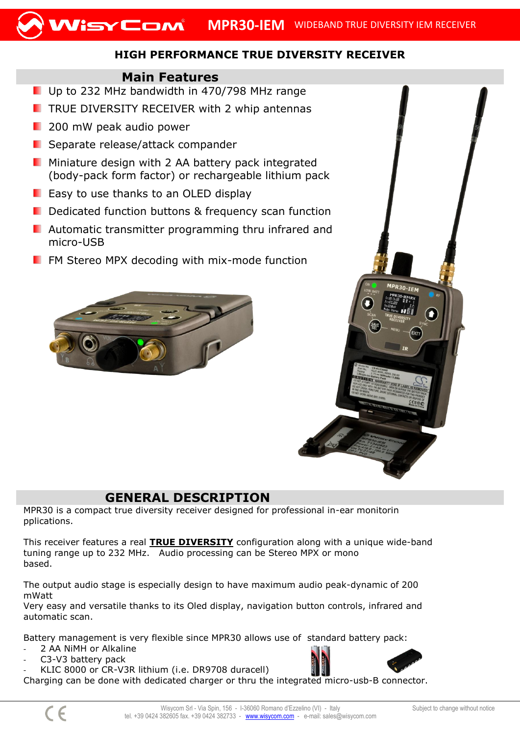

## **HIGH PERFORMANCE TRUE DIVERSITY RECEIVER**

## **Main Features**

- Up to 232 MHz bandwidth in 470/798 MHz range
- $\blacksquare$  TRUE DIVERSITY RECEIVER with 2 whip antennas
- **200 mW peak audio power**
- **E** Separate release/attack compander
- **Miniature design with 2 AA battery pack integrated** (body-pack form factor) or rechargeable lithium pack
- **E** Easy to use thanks to an OLED display
- Dedicated function buttons & frequency scan function
- **Automatic transmitter programming thru infrared and** micro-USB
- $\blacksquare$  FM Stereo MPX decoding with mix-mode function





## **GENERAL DESCRIPTION**

MPR30 is a compact true diversity receiver designed for professional in-ear monitorin pplications.

This receiver features a real **TRUE DIVERSITY** configuration along with a unique wide-band tuning range up to 232 MHz. Audio processing can be Stereo MPX or mono based.

The output audio stage is especially design to have maximum audio peak-dynamic of 200 mWatt

Very easy and versatile thanks to its Oled display, navigation button controls, infrared and automatic scan.

Battery management is very flexible since MPR30 allows use of standard battery pack:

- 2 AA NiMH or Alkaline
- C3-V3 battery pack
- KLIC 8000 or CR-V3R lithium (i.e. DR9708 duracell)

Charging can be done with dedicated charger or thru the integrated micro-usb-B connector.